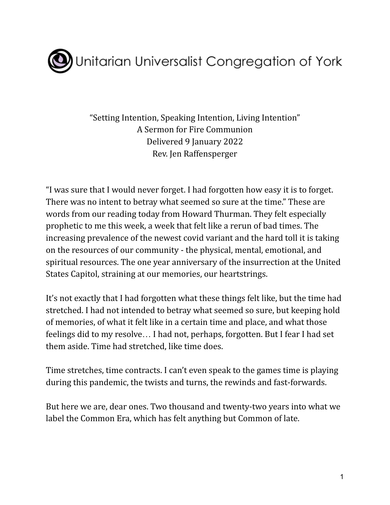

"Setting Intention, Speaking Intention, Living Intention" A Sermon for Fire Communion Delivered 9 January 2022 Rev. Jen Raffensperger

"I was sure that I would never forget. I had forgotten how easy it is to forget. There was no intent to betray what seemed so sure at the time." These are words from our reading today from Howard Thurman. They felt especially prophetic to me this week, a week that felt like a rerun of bad times. The increasing prevalence of the newest covid variant and the hard toll it is taking on the resources of our community - the physical, mental, emotional, and spiritual resources. The one year anniversary of the insurrection at the United States Capitol, straining at our memories, our heartstrings.

It's not exactly that I had forgotten what these things felt like, but the time had stretched. I had not intended to betray what seemed so sure, but keeping hold of memories, of what it felt like in a certain time and place, and what those feelings did to my resolve… I had not, perhaps, forgotten. But I fear I had set them aside. Time had stretched, like time does.

Time stretches, time contracts. I can't even speak to the games time is playing during this pandemic, the twists and turns, the rewinds and fast-forwards.

But here we are, dear ones. Two thousand and twenty-two years into what we label the Common Era, which has felt anything but Common of late.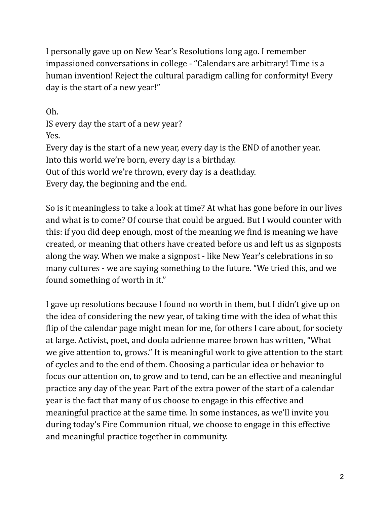I personally gave up on New Year's Resolutions long ago. I remember impassioned conversations in college - "Calendars are arbitrary! Time is a human invention! Reject the cultural paradigm calling for conformity! Every day is the start of a new year!"

Oh. IS every day the start of a new year? Yes. Every day is the start of a new year, every day is the END of another year. Into this world we're born, every day is a birthday. Out of this world we're thrown, every day is a deathday. Every day, the beginning and the end.

So is it meaningless to take a look at time? At what has gone before in our lives and what is to come? Of course that could be argued. But I would counter with this: if you did deep enough, most of the meaning we find is meaning we have created, or meaning that others have created before us and left us as signposts along the way. When we make a signpost - like New Year's celebrations in so many cultures - we are saying something to the future. "We tried this, and we found something of worth in it."

I gave up resolutions because I found no worth in them, but I didn't give up on the idea of considering the new year, of taking time with the idea of what this flip of the calendar page might mean for me, for others I care about, for society at large. Activist, poet, and doula adrienne maree brown has written, "What we give attention to, grows." It is meaningful work to give attention to the start of cycles and to the end of them. Choosing a particular idea or behavior to focus our attention on, to grow and to tend, can be an effective and meaningful practice any day of the year. Part of the extra power of the start of a calendar year is the fact that many of us choose to engage in this effective and meaningful practice at the same time. In some instances, as we'll invite you during today's Fire Communion ritual, we choose to engage in this effective and meaningful practice together in community.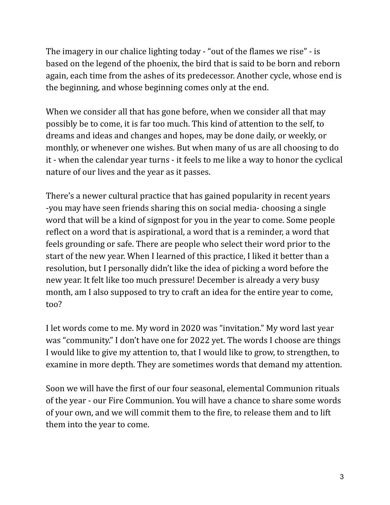The imagery in our chalice lighting today - "out of the flames we rise" - is based on the legend of the phoenix, the bird that is said to be born and reborn again, each time from the ashes of its predecessor. Another cycle, whose end is the beginning, and whose beginning comes only at the end.

When we consider all that has gone before, when we consider all that may possibly be to come, it is far too much. This kind of attention to the self, to dreams and ideas and changes and hopes, may be done daily, or weekly, or monthly, or whenever one wishes. But when many of us are all choosing to do it - when the calendar year turns - it feels to me like a way to honor the cyclical nature of our lives and the year as it passes.

There's a newer cultural practice that has gained popularity in recent years -you may have seen friends sharing this on social media- choosing a single word that will be a kind of signpost for you in the year to come. Some people reflect on a word that is aspirational, a word that is a reminder, a word that feels grounding or safe. There are people who select their word prior to the start of the new year. When I learned of this practice, I liked it better than a resolution, but I personally didn't like the idea of picking a word before the new year. It felt like too much pressure! December is already a very busy month, am I also supposed to try to craft an idea for the entire year to come, too?

I let words come to me. My word in 2020 was "invitation." My word last year was "community." I don't have one for 2022 yet. The words I choose are things I would like to give my attention to, that I would like to grow, to strengthen, to examine in more depth. They are sometimes words that demand my attention.

Soon we will have the first of our four seasonal, elemental Communion rituals of the year - our Fire Communion. You will have a chance to share some words of your own, and we will commit them to the fire, to release them and to lift them into the year to come.